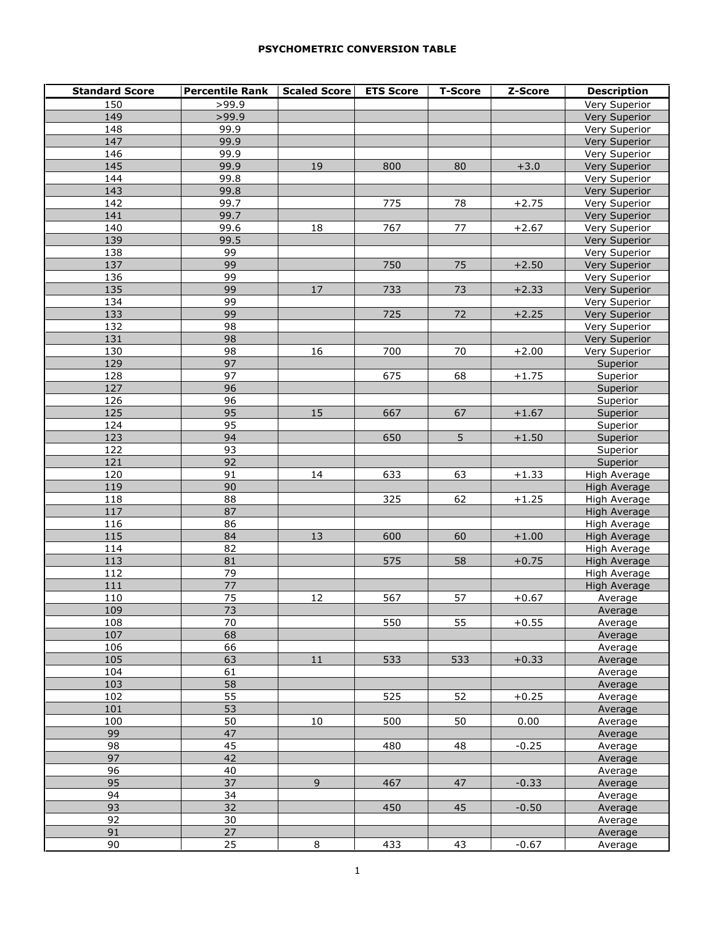## **PSYCHOMETRIC CONVERSION TABLE**

| <b>Standard Score</b> | <b>Percentile Rank</b> | <b>Scaled Score</b> | <b>ETS Score</b> | <b>T-Score</b> | Z-Score | <b>Description</b>  |
|-----------------------|------------------------|---------------------|------------------|----------------|---------|---------------------|
| 150                   | >99.9                  |                     |                  |                |         | Very Superior       |
| 149                   | >99.9                  |                     |                  |                |         | Very Superior       |
| 148                   | 99.9                   |                     |                  |                |         | Very Superior       |
| 147                   | 99.9                   |                     |                  |                |         | Very Superior       |
| 146                   | 99.9                   |                     |                  |                |         | Very Superior       |
| 145                   | 99.9                   | 19                  | 800              | 80             | $+3.0$  | Very Superior       |
| 144                   | 99.8                   |                     |                  |                |         | Very Superior       |
| 143                   | 99.8                   |                     |                  |                |         | Very Superior       |
| 142                   | 99.7                   |                     | 775              | 78             | $+2.75$ | Very Superior       |
| 141                   | 99.7                   |                     |                  |                |         | Very Superior       |
| 140                   | 99.6                   | 18                  | 767              | 77             | $+2.67$ | Very Superior       |
| 139                   | 99.5                   |                     |                  |                |         | Very Superior       |
| 138                   | 99                     |                     |                  |                |         | Very Superior       |
| 137                   | 99                     |                     | 750              | 75             | $+2.50$ | Very Superior       |
| 136                   | 99                     |                     |                  |                |         | Very Superior       |
| 135                   | 99                     | 17                  | 733              | 73             | $+2.33$ | Very Superior       |
| 134                   | 99                     |                     |                  |                |         | Very Superior       |
| 133                   | 99                     |                     | 725              | $72\,$         | $+2.25$ | Very Superior       |
| 132                   | 98                     |                     |                  |                |         | Very Superior       |
| 131                   | 98                     |                     |                  |                |         | Very Superior       |
| 130                   | 98                     | 16                  | 700              | 70             | $+2.00$ | Very Superior       |
| 129                   | 97                     |                     |                  |                |         | Superior            |
| 128                   | 97                     |                     | 675              | 68             | $+1.75$ | Superior            |
| 127                   | 96                     |                     |                  |                |         | Superior            |
| 126                   | 96                     |                     |                  |                |         | Superior            |
| 125                   | 95                     | 15                  | 667              | 67             | $+1.67$ | Superior            |
| 124                   | 95                     |                     |                  |                |         | Superior            |
| 123                   | 94                     |                     | 650              | $\overline{5}$ | $+1.50$ | Superior            |
| 122                   | 93                     |                     |                  |                |         | Superior            |
| 121                   | $\overline{92}$        |                     |                  |                |         | Superior            |
| 120                   | 91                     | 14                  | 633              | 63             | $+1.33$ | High Average        |
| 119                   | 90                     |                     |                  |                |         | High Average        |
| 118                   | 88                     |                     | 325              | 62             | $+1.25$ | High Average        |
| 117                   | 87                     |                     |                  |                |         | High Average        |
| 116                   | 86                     |                     |                  |                |         | High Average        |
| 115                   | 84                     | 13                  | 600              | 60             | $+1.00$ | High Average        |
| 114                   | 82                     |                     |                  |                |         | <b>High Average</b> |
| 113<br>112            | 81<br>79               |                     | 575              | 58             | $+0.75$ | High Average        |
|                       | $\overline{77}$        |                     |                  |                |         | High Average        |
| 111<br>110            | 75                     | 12                  |                  |                |         | High Average        |
| 109                   |                        |                     | 567              | 57             | $+0.67$ | Average             |
| 108                   | 73<br>70               |                     | 550              | 55             | $+0.55$ | Average             |
| 107                   | 68                     |                     |                  |                |         | Average<br>Average  |
| 106                   | 66                     |                     |                  |                |         | Average             |
| 105                   | 63                     | $11\,$              | 533              | 533            | $+0.33$ | Average             |
| 104                   | 61                     |                     |                  |                |         | Average             |
| 103                   | 58                     |                     |                  |                |         | Average             |
| 102                   | 55                     |                     | 525              | 52             | $+0.25$ | Average             |
| 101                   | 53                     |                     |                  |                |         | Average             |
| 100                   | 50                     | 10                  | 500              | 50             | 0.00    | Average             |
| 99                    | 47                     |                     |                  |                |         | Average             |
| 98                    | $\overline{45}$        |                     | 480              | 48             | $-0.25$ | Average             |
| 97                    | 42                     |                     |                  |                |         | Average             |
| 96                    | 40                     |                     |                  |                |         | Average             |
| 95                    | 37                     | $\overline{9}$      | 467              | 47             | $-0.33$ | Average             |
| 94                    | 34                     |                     |                  |                |         | Average             |
| 93                    | 32                     |                     | 450              | 45             | $-0.50$ | Average             |
| 92                    | 30                     |                     |                  |                |         | Average             |
| 91                    | 27                     |                     |                  |                |         | Average             |
| 90                    | 25                     | 8                   | 433              | 43             | $-0.67$ | Average             |